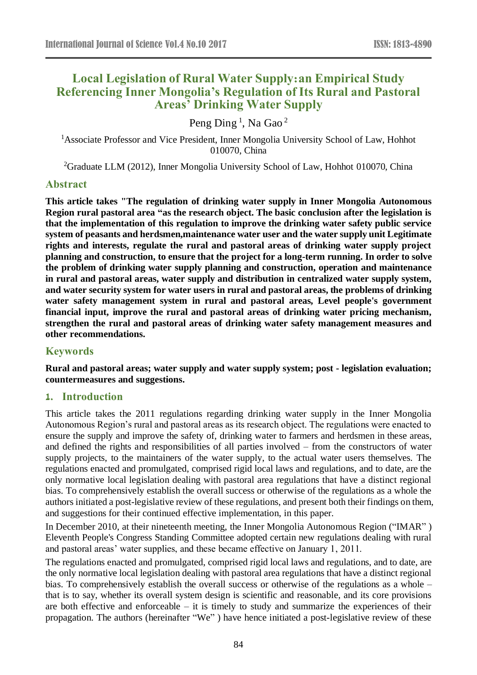# **Local Legislation of Rural Water Supply:an Empirical Study Referencing Inner Mongolia's Regulation of Its Rural and Pastoral Areas' Drinking Water Supply**

Peng Ding <sup>1</sup>, Na Gao <sup>2</sup>

<sup>1</sup>Associate Professor and Vice President, Inner Mongolia University School of Law, Hohhot 010070, China

<sup>2</sup>Graduate LLM (2012), Inner Mongolia University School of Law, Hohhot 010070, China

# **Abstract**

**This article takes "The regulation of drinking water supply in Inner Mongolia Autonomous Region rural pastoral area "as the research object. The basic conclusion after the legislation is that the implementation of this regulation to improve the drinking water safety public service system of peasants and herdsmen,maintenance water user and the water supply unit Legitimate rights and interests, regulate the rural and pastoral areas of drinking water supply project planning and construction, to ensure that the project for a long-term running. In order to solve the problem of drinking water supply planning and construction, operation and maintenance in rural and pastoral areas, water supply and distribution in centralized water supply system, and water security system for water users in rural and pastoral areas, the problems of drinking water safety management system in rural and pastoral areas, Level people's government financial input, improve the rural and pastoral areas of drinking water pricing mechanism, strengthen the rural and pastoral areas of drinking water safety management measures and other recommendations.**

# **Keywords**

**Rural and pastoral areas; water supply and water supply system; post - legislation evaluation; countermeasures and suggestions.**

#### **1. Introduction**

This article takes the 2011 regulations regarding drinking water supply in the Inner Mongolia Autonomous Region's rural and pastoral areas as its research object. The regulations were enacted to ensure the supply and improve the safety of, drinking water to farmers and herdsmen in these areas, and defined the rights and responsibilities of all parties involved – from the constructors of water supply projects, to the maintainers of the water supply, to the actual water users themselves. The regulations enacted and promulgated, comprised rigid local laws and regulations, and to date, are the only normative local legislation dealing with pastoral area regulations that have a distinct regional bias. To comprehensively establish the overall success or otherwise of the regulations as a whole the authors initiated a post-legislative review of these regulations, and present both their findings on them, and suggestions for their continued effective implementation, in this paper.

In December 2010, at their nineteenth meeting, the Inner Mongolia Autonomous Region ("IMAR" ) Eleventh People's Congress Standing Committee adopted certain new regulations dealing with rural and pastoral areas' water supplies, and these became effective on January 1, 2011.

The regulations enacted and promulgated, comprised rigid local laws and regulations, and to date, are the only normative local legislation dealing with pastoral area regulations that have a distinct regional bias. To comprehensively establish the overall success or otherwise of the regulations as a whole – that is to say, whether its overall system design is scientific and reasonable, and its core provisions are both effective and enforceable – it is timely to study and summarize the experiences of their propagation. The authors (hereinafter "We" ) have hence initiated a post-legislative review of these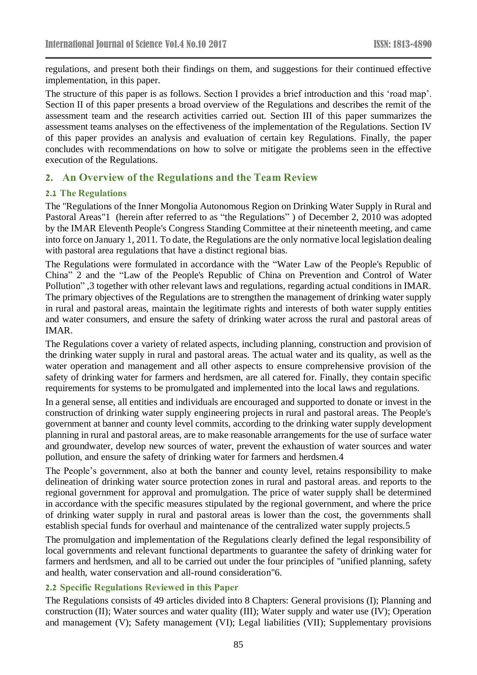regulations, and present both their findings on them, and suggestions for their continued effective implementation, in this paper.

The structure of this paper is as follows. Section I provides a brief introduction and this 'road map'. Section II of this paper presents a broad overview of the Regulations and describes the remit of the assessment team and the research activities carried out. Section III of this paper summarizes the assessment teams analyses on the effectiveness of the implementation of the Regulations. Section IV of this paper provides an analysis and evaluation of certain key Regulations. Finally, the paper concludes with recommendations on how to solve or mitigate the problems seen in the effective execution of the Regulations.

# **2. An Overview of the Regulations and the Team Review**

#### **2.1 The Regulations**

The "Regulations of the Inner Mongolia Autonomous Region on Drinking Water Supply in Rural and Pastoral Areas"1 (herein after referred to as "the Regulations" ) of December 2, 2010 was adopted by the IMAR Eleventh People's Congress Standing Committee at their nineteenth meeting, and came into force on January 1, 2011. To date, the Regulations are the only normative local legislation dealing with pastoral area regulations that have a distinct regional bias.

The Regulations were formulated in accordance with the "Water Law of the People's Republic of China" 2 and the "Law of the People's Republic of China on Prevention and Control of Water Pollution" ,3 together with other relevant laws and regulations, regarding actual conditions in IMAR. The primary objectives of the Regulations are to strengthen the management of drinking water supply in rural and pastoral areas, maintain the legitimate rights and interests of both water supply entities and water consumers, and ensure the safety of drinking water across the rural and pastoral areas of IMAR.

The Regulations cover a variety of related aspects, including planning, construction and provision of the drinking water supply in rural and pastoral areas. The actual water and its quality, as well as the water operation and management and all other aspects to ensure comprehensive provision of the safety of drinking water for farmers and herdsmen, are all catered for. Finally, they contain specific requirements for systems to be promulgated and implemented into the local laws and regulations.

In a general sense, all entities and individuals are encouraged and supported to donate or invest in the construction of drinking water supply engineering projects in rural and pastoral areas. The People's government at banner and county level commits, according to the drinking water supply development planning in rural and pastoral areas, are to make reasonable arrangements for the use of surface water and groundwater, develop new sources of water, prevent the exhaustion of water sources and water pollution, and ensure the safety of drinking water for farmers and herdsmen.4

The People's government, also at both the banner and county level, retains responsibility to make delineation of drinking water source protection zones in rural and pastoral areas. and reports to the regional government for approval and promulgation. The price of water supply shall be determined in accordance with the specific measures stipulated by the regional government, and where the price of drinking water supply in rural and pastoral areas is lower than the cost, the governments shall establish special funds for overhaul and maintenance of the centralized water supply projects.5

The promulgation and implementation of the Regulations clearly defined the legal responsibility of local governments and relevant functional departments to guarantee the safety of drinking water for farmers and herdsmen, and all to be carried out under the four principles of "unified planning, safety and health, water conservation and all-round consideration"6.

#### **2.2 Specific Regulations Reviewed in this Paper**

The Regulations consists of 49 articles divided into 8 Chapters: General provisions (I); Planning and construction (II); Water sources and water quality (III); Water supply and water use (IV); Operation and management (V); Safety management (VI); Legal liabilities (VII); Supplementary provisions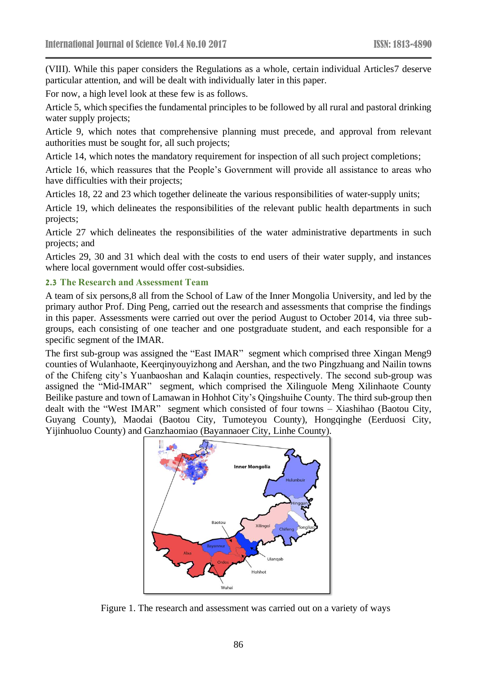(VIII). While this paper considers the Regulations as a whole, certain individual Articles7 deserve particular attention, and will be dealt with individually later in this paper.

For now, a high level look at these few is as follows.

Article 5, which specifies the fundamental principles to be followed by all rural and pastoral drinking water supply projects;

Article 9, which notes that comprehensive planning must precede, and approval from relevant authorities must be sought for, all such projects;

Article 14, which notes the mandatory requirement for inspection of all such project completions;

Article 16, which reassures that the People's Government will provide all assistance to areas who have difficulties with their projects;

Articles 18, 22 and 23 which together delineate the various responsibilities of water-supply units;

Article 19, which delineates the responsibilities of the relevant public health departments in such projects;

Article 27 which delineates the responsibilities of the water administrative departments in such projects; and

Articles 29, 30 and 31 which deal with the costs to end users of their water supply, and instances where local government would offer cost-subsidies.

#### **2.3 The Research and Assessment Team**

A team of six persons,8 all from the School of Law of the Inner Mongolia University, and led by the primary author Prof. Ding Peng, carried out the research and assessments that comprise the findings in this paper. Assessments were carried out over the period August to October 2014, via three subgroups, each consisting of one teacher and one postgraduate student, and each responsible for a specific segment of the IMAR.

The first sub-group was assigned the "East IMAR" segment which comprised three Xingan Meng9 counties of Wulanhaote, Keerqinyouyizhong and Aershan, and the two Pingzhuang and Nailin towns of the Chifeng city's Yuanbaoshan and Kalaqin counties, respectively. The second sub-group was assigned the "Mid-IMAR" segment, which comprised the Xilinguole Meng Xilinhaote County Beilike pasture and town of Lamawan in Hohhot City's Qingshuihe County. The third sub-group then dealt with the "West IMAR" segment which consisted of four towns – Xiashihao (Baotou City, Guyang County), Maodai (Baotou City, Tumoteyou County), Hongqinghe (Eerduosi City, Yijinhuoluo County) and Ganzhaomiao (Bayannaoer City, Linhe County).



Figure 1. The research and assessment was carried out on a variety of ways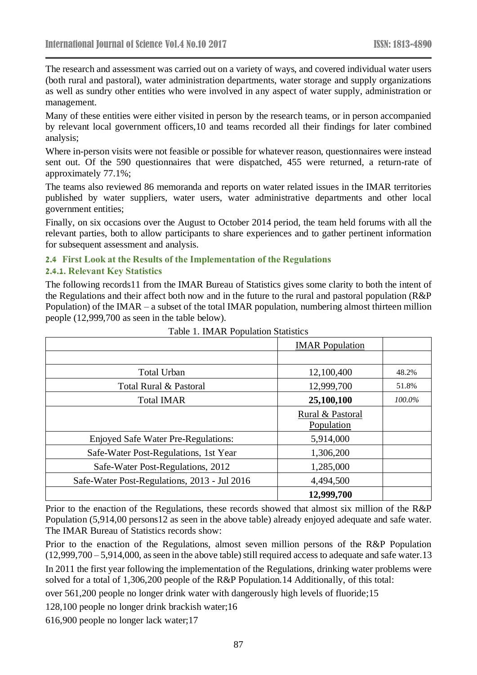The research and assessment was carried out on a variety of ways, and covered individual water users (both rural and pastoral), water administration departments, water storage and supply organizations as well as sundry other entities who were involved in any aspect of water supply, administration or management.

Many of these entities were either visited in person by the research teams, or in person accompanied by relevant local government officers,10 and teams recorded all their findings for later combined analysis;

Where in-person visits were not feasible or possible for whatever reason, questionnaires were instead sent out. Of the 590 questionnaires that were dispatched, 455 were returned, a return-rate of approximately 77.1%;

The teams also reviewed 86 memoranda and reports on water related issues in the IMAR territories published by water suppliers, water users, water administrative departments and other local government entities;

Finally, on six occasions over the August to October 2014 period, the team held forums with all the relevant parties, both to allow participants to share experiences and to gather pertinent information for subsequent assessment and analysis.

# **2.4 First Look at the Results of the Implementation of the Regulations**

# **2.4.1. Relevant Key Statistics**

The following records11 from the IMAR Bureau of Statistics gives some clarity to both the intent of the Regulations and their affect both now and in the future to the rural and pastoral population (R&P Population) of the IMAR – a subset of the total IMAR population, numbering almost thirteen million people (12,999,700 as seen in the table below).

|                                              | <b>IMAR</b> Population |        |
|----------------------------------------------|------------------------|--------|
|                                              |                        |        |
| <b>Total Urban</b>                           | 12,100,400             | 48.2%  |
| Total Rural & Pastoral                       | 12,999,700             | 51.8%  |
| <b>Total IMAR</b>                            | 25,100,100             | 100.0% |
|                                              | Rural & Pastoral       |        |
|                                              | Population             |        |
| <b>Enjoyed Safe Water Pre-Regulations:</b>   | 5,914,000              |        |
| Safe-Water Post-Regulations, 1st Year        | 1,306,200              |        |
| Safe-Water Post-Regulations, 2012            | 1,285,000              |        |
| Safe-Water Post-Regulations, 2013 - Jul 2016 | 4,494,500              |        |
|                                              | 12,999,700             |        |

| Table 1. IMAR Population Statistics |
|-------------------------------------|
|-------------------------------------|

Prior to the enaction of the Regulations, these records showed that almost six million of the R&P Population (5,914,00 persons12 as seen in the above table) already enjoyed adequate and safe water. The IMAR Bureau of Statistics records show:

Prior to the enaction of the Regulations, almost seven million persons of the R&P Population (12,999,700 – 5,914,000, as seen in the above table) still required access to adequate and safe water.13

In 2011 the first year following the implementation of the Regulations, drinking water problems were solved for a total of 1,306,200 people of the R&P Population.14 Additionally, of this total:

over 561,200 people no longer drink water with dangerously high levels of fluoride;15

128,100 people no longer drink brackish water;16

616,900 people no longer lack water;17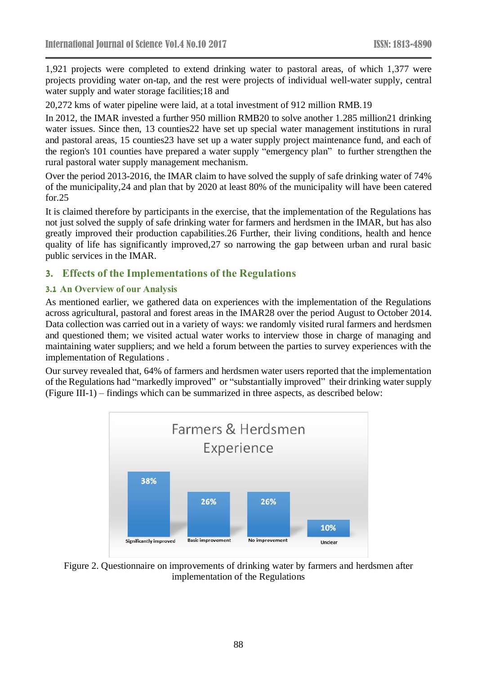1,921 projects were completed to extend drinking water to pastoral areas, of which 1,377 were projects providing water on-tap, and the rest were projects of individual well-water supply, central water supply and water storage facilities;18 and

20,272 kms of water pipeline were laid, at a total investment of 912 million RMB.19

In 2012, the IMAR invested a further 950 million RMB20 to solve another 1.285 million21 drinking water issues. Since then, 13 counties22 have set up special water management institutions in rural and pastoral areas, 15 counties23 have set up a water supply project maintenance fund, and each of the region's 101 counties have prepared a water supply "emergency plan" to further strengthen the rural pastoral water supply management mechanism.

Over the period 2013-2016, the IMAR claim to have solved the supply of safe drinking water of 74% of the municipality,24 and plan that by 2020 at least 80% of the municipality will have been catered for.25

It is claimed therefore by participants in the exercise, that the implementation of the Regulations has not just solved the supply of safe drinking water for farmers and herdsmen in the IMAR, but has also greatly improved their production capabilities.26 Further, their living conditions, health and hence quality of life has significantly improved,27 so narrowing the gap between urban and rural basic public services in the IMAR.

# **3. Effects of the Implementations of the Regulations**

# **3.1 An Overview of our Analysis**

As mentioned earlier, we gathered data on experiences with the implementation of the Regulations across agricultural, pastoral and forest areas in the IMAR28 over the period August to October 2014. Data collection was carried out in a variety of ways: we randomly visited rural farmers and herdsmen and questioned them; we visited actual water works to interview those in charge of managing and maintaining water suppliers; and we held a forum between the parties to survey experiences with the implementation of Regulations .

Our survey revealed that, 64% of farmers and herdsmen water users reported that the implementation of the Regulations had "markedly improved" or "substantially improved" their drinking water supply (Figure III-1) – findings which can be summarized in three aspects, as described below:



Figure 2. Questionnaire on improvements of drinking water by farmers and herdsmen after implementation of the Regulations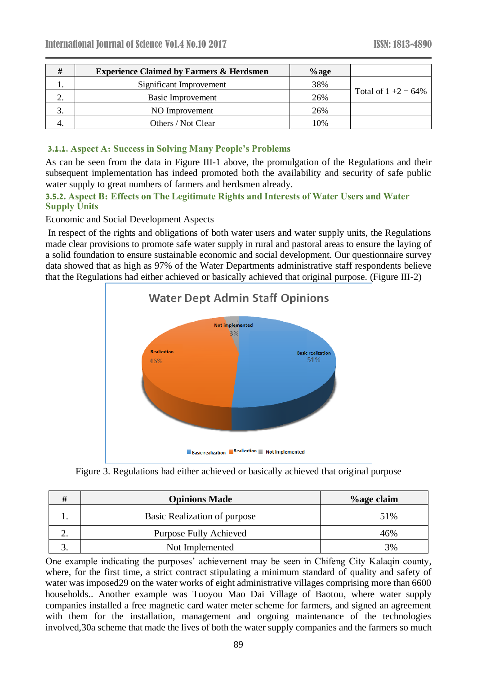| #        | <b>Experience Claimed by Farmers &amp; Herdsmen</b> | $\%$ age |                         |
|----------|-----------------------------------------------------|----------|-------------------------|
|          | Significant Improvement                             | 38%      |                         |
| <u>.</u> | Basic Improvement                                   | 26%      | Total of $1 + 2 = 64\%$ |
|          | NO Improvement                                      | 26%      |                         |
|          | Others / Not Clear                                  | 10%      |                         |

#### **3.1.1. Aspect A: Success in Solving Many People's Problems**

As can be seen from the data in Figure III-1 above, the promulgation of the Regulations and their subsequent implementation has indeed promoted both the availability and security of safe public water supply to great numbers of farmers and herdsmen already.

#### **3.5.2. Aspect B: Effects on The Legitimate Rights and Interests of Water Users and Water Supply Units**

Economic and Social Development Aspects

In respect of the rights and obligations of both water users and water supply units, the Regulations made clear provisions to promote safe water supply in rural and pastoral areas to ensure the laying of a solid foundation to ensure sustainable economic and social development. Our questionnaire survey data showed that as high as 97% of the Water Departments administrative staff respondents believe that the Regulations had either achieved or basically achieved that original purpose. (Figure III-2)



Figure 3. Regulations had either achieved or basically achieved that original purpose

|    | <b>Opinions Made</b>          | %age claim |
|----|-------------------------------|------------|
|    | Basic Realization of purpose  | 51%        |
| ۷. | <b>Purpose Fully Achieved</b> | 46%        |
|    | Not Implemented               | 3%         |

One example indicating the purposes' achievement may be seen in Chifeng City Kalaqin county, where, for the first time, a strict contract stipulating a minimum standard of quality and safety of water was imposed29 on the water works of eight administrative villages comprising more than 6600 households.. Another example was Tuoyou Mao Dai Village of Baotou, where water supply companies installed a free magnetic card water meter scheme for farmers, and signed an agreement with them for the installation, management and ongoing maintenance of the technologies involved,30a scheme that made the lives of both the water supply companies and the farmers so much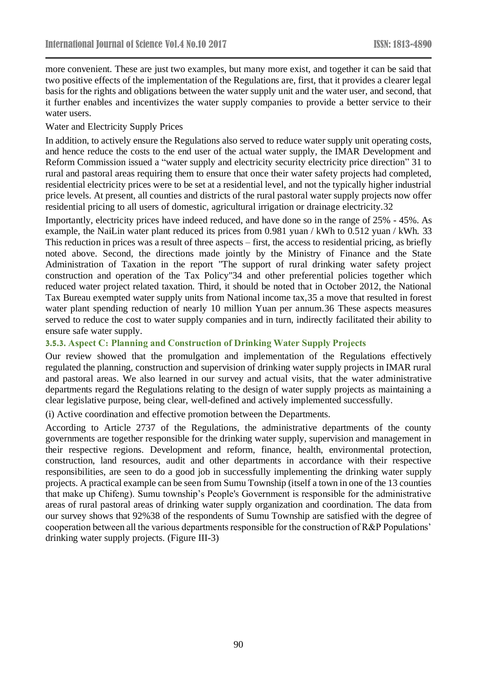more convenient. These are just two examples, but many more exist, and together it can be said that two positive effects of the implementation of the Regulations are, first, that it provides a clearer legal basis for the rights and obligations between the water supply unit and the water user, and second, that it further enables and incentivizes the water supply companies to provide a better service to their water users.

#### Water and Electricity Supply Prices

In addition, to actively ensure the Regulations also served to reduce water supply unit operating costs, and hence reduce the costs to the end user of the actual water supply, the IMAR Development and Reform Commission issued a "water supply and electricity security electricity price direction" 31 to rural and pastoral areas requiring them to ensure that once their water safety projects had completed, residential electricity prices were to be set at a residential level, and not the typically higher industrial price levels. At present, all counties and districts of the rural pastoral water supply projects now offer residential pricing to all users of domestic, agricultural irrigation or drainage electricity.32

Importantly, electricity prices have indeed reduced, and have done so in the range of 25% - 45%. As example, the NaiLin water plant reduced its prices from 0.981 yuan / kWh to 0.512 yuan / kWh. 33 This reduction in prices was a result of three aspects – first, the access to residential pricing, as briefly noted above. Second, the directions made jointly by the Ministry of Finance and the State Administration of Taxation in the report "The support of rural drinking water safety project construction and operation of the Tax Policy"34 and other preferential policies together which reduced water project related taxation. Third, it should be noted that in October 2012, the National Tax Bureau exempted water supply units from National income tax,35 a move that resulted in forest water plant spending reduction of nearly 10 million Yuan per annum.36 These aspects measures served to reduce the cost to water supply companies and in turn, indirectly facilitated their ability to ensure safe water supply.

#### **3.5.3. Aspect C: Planning and Construction of Drinking Water Supply Projects**

Our review showed that the promulgation and implementation of the Regulations effectively regulated the planning, construction and supervision of drinking water supply projects in IMAR rural and pastoral areas. We also learned in our survey and actual visits, that the water administrative departments regard the Regulations relating to the design of water supply projects as maintaining a clear legislative purpose, being clear, well-defined and actively implemented successfully.

(i) Active coordination and effective promotion between the Departments.

According to Article 2737 of the Regulations, the administrative departments of the county governments are together responsible for the drinking water supply, supervision and management in their respective regions. Development and reform, finance, health, environmental protection, construction, land resources, audit and other departments in accordance with their respective responsibilities, are seen to do a good job in successfully implementing the drinking water supply projects. A practical example can be seen from Sumu Township (itself a town in one of the 13 counties that make up Chifeng). Sumu township's People's Government is responsible for the administrative areas of rural pastoral areas of drinking water supply organization and coordination. The data from our survey shows that 92%38 of the respondents of Sumu Township are satisfied with the degree of cooperation between all the various departments responsible for the construction of R&P Populations' drinking water supply projects. (Figure III-3)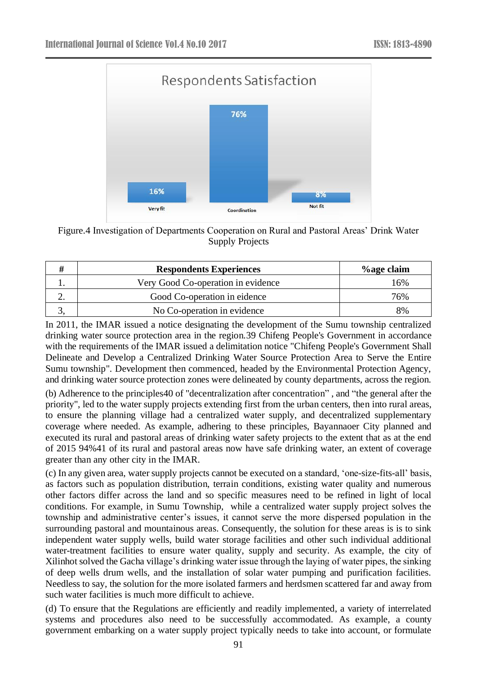

Figure.4 Investigation of Departments Cooperation on Rural and Pastoral Areas' Drink Water Supply Projects

|            | <b>Respondents Experiences</b>     | <i><b>%age claim</b></i> |
|------------|------------------------------------|--------------------------|
|            | Very Good Co-operation in evidence | 16%                      |
| <u>، ،</u> | Good Co-operation in eidence       | 76%                      |
|            | No Co-operation in evidence        | 8%                       |

In 2011, the IMAR issued a notice designating the development of the Sumu township centralized drinking water source protection area in the region.39 Chifeng People's Government in accordance with the requirements of the IMAR issued a delimitation notice "Chifeng People's Government Shall Delineate and Develop a Centralized Drinking Water Source Protection Area to Serve the Entire Sumu township". Development then commenced, headed by the Environmental Protection Agency, and drinking water source protection zones were delineated by county departments, across the region.

(b) Adherence to the principles40 of "decentralization after concentration" , and "the general after the priority", led to the water supply projects extending first from the urban centers, then into rural areas, to ensure the planning village had a centralized water supply, and decentralized supplementary coverage where needed. As example, adhering to these principles, Bayannaoer City planned and executed its rural and pastoral areas of drinking water safety projects to the extent that as at the end of 2015 94%41 of its rural and pastoral areas now have safe drinking water, an extent of coverage greater than any other city in the IMAR.

(c) In any given area, water supply projects cannot be executed on a standard, 'one-size-fits-all' basis, as factors such as population distribution, terrain conditions, existing water quality and numerous other factors differ across the land and so specific measures need to be refined in light of local conditions. For example, in Sumu Township, while a centralized water supply project solves the township and administrative center's issues, it cannot serve the more dispersed population in the surrounding pastoral and mountainous areas. Consequently, the solution for these areas is is to sink independent water supply wells, build water storage facilities and other such individual additional water-treatment facilities to ensure water quality, supply and security. As example, the city of Xilinhot solved the Gacha village's drinking water issue through the laying of water pipes, the sinking of deep wells drum wells, and the installation of solar water pumping and purification facilities. Needless to say, the solution for the more isolated farmers and herdsmen scattered far and away from such water facilities is much more difficult to achieve.

(d) To ensure that the Regulations are efficiently and readily implemented, a variety of interrelated systems and procedures also need to be successfully accommodated. As example, a county government embarking on a water supply project typically needs to take into account, or formulate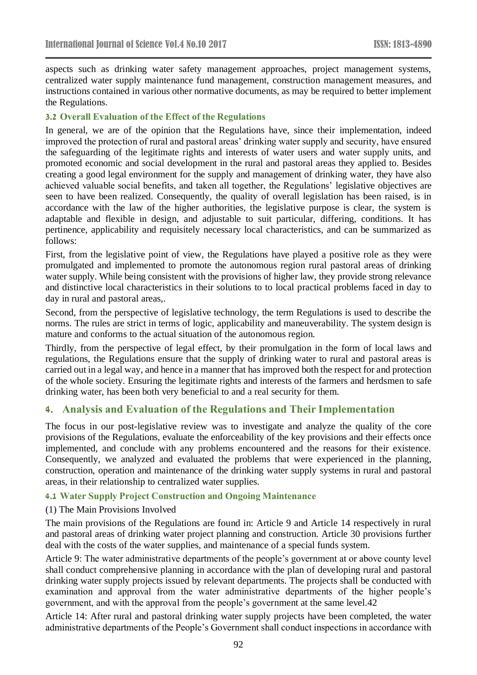aspects such as drinking water safety management approaches, project management systems, centralized water supply maintenance fund management, construction management measures, and instructions contained in various other normative documents, as may be required to better implement the Regulations.

### **3.2 Overall Evaluation of the Effect of the Regulations**

In general, we are of the opinion that the Regulations have, since their implementation, indeed improved the protection of rural and pastoral areas' drinking water supply and security, have ensured the safeguarding of the legitimate rights and interests of water users and water supply units, and promoted economic and social development in the rural and pastoral areas they applied to. Besides creating a good legal environment for the supply and management of drinking water, they have also achieved valuable social benefits, and taken all together, the Regulations' legislative objectives are seen to have been realized. Consequently, the quality of overall legislation has been raised, is in accordance with the law of the higher authorities, the legislative purpose is clear, the system is adaptable and flexible in design, and adjustable to suit particular, differing, conditions. It has pertinence, applicability and requisitely necessary local characteristics, and can be summarized as follows:

First, from the legislative point of view, the Regulations have played a positive role as they were promulgated and implemented to promote the autonomous region rural pastoral areas of drinking water supply. While being consistent with the provisions of higher law, they provide strong relevance and distinctive local characteristics in their solutions to to local practical problems faced in day to day in rural and pastoral areas,.

Second, from the perspective of legislative technology, the term Regulations is used to describe the norms. The rules are strict in terms of logic, applicability and maneuverability. The system design is mature and conforms to the actual situation of the autonomous region.

Thirdly, from the perspective of legal effect, by their promulgation in the form of local laws and regulations, the Regulations ensure that the supply of drinking water to rural and pastoral areas is carried out in a legal way, and hence in a manner that has improved both the respect for and protection of the whole society. Ensuring the legitimate rights and interests of the farmers and herdsmen to safe drinking water, has been both very beneficial to and a real security for them.

# **4. Analysis and Evaluation of the Regulations and Their Implementation**

The focus in our post-legislative review was to investigate and analyze the quality of the core provisions of the Regulations, evaluate the enforceability of the key provisions and their effects once implemented, and conclude with any problems encountered and the reasons for their existence. Consequently, we analyzed and evaluated the problems that were experienced in the planning, construction, operation and maintenance of the drinking water supply systems in rural and pastoral areas, in their relationship to centralized water supplies.

#### **4.1 Water Supply Project Construction and Ongoing Maintenance**

#### (1) The Main Provisions Involved

The main provisions of the Regulations are found in: Article 9 and Article 14 respectively in rural and pastoral areas of drinking water project planning and construction. Article 30 provisions further deal with the costs of the water supplies, and maintenance of a special funds system.

Article 9: The water administrative departments of the people's government at or above county level shall conduct comprehensive planning in accordance with the plan of developing rural and pastoral drinking water supply projects issued by relevant departments. The projects shall be conducted with examination and approval from the water administrative departments of the higher people's government, and with the approval from the people's government at the same level.42

Article 14: After rural and pastoral drinking water supply projects have been completed, the water administrative departments of the People's Government shall conduct inspections in accordance with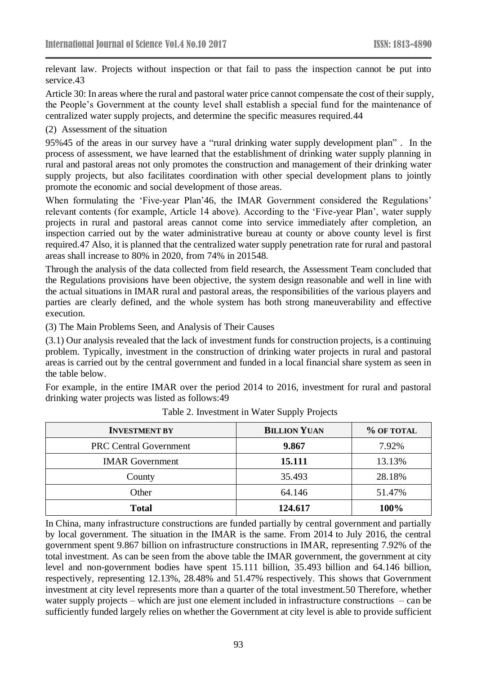relevant law. Projects without inspection or that fail to pass the inspection cannot be put into service.43

Article 30: In areas where the rural and pastoral water price cannot compensate the cost of their supply, the People's Government at the county level shall establish a special fund for the maintenance of centralized water supply projects, and determine the specific measures required.44

#### (2) Assessment of the situation

95%45 of the areas in our survey have a "rural drinking water supply development plan" . In the process of assessment, we have learned that the establishment of drinking water supply planning in rural and pastoral areas not only promotes the construction and management of their drinking water supply projects, but also facilitates coordination with other special development plans to jointly promote the economic and social development of those areas.

When formulating the 'Five-year Plan'46, the IMAR Government considered the Regulations' relevant contents (for example, Article 14 above). According to the 'Five-year Plan', water supply projects in rural and pastoral areas cannot come into service immediately after completion, an inspection carried out by the water administrative bureau at county or above county level is first required.47 Also, it is planned that the centralized water supply penetration rate for rural and pastoral areas shall increase to 80% in 2020, from 74% in 201548.

Through the analysis of the data collected from field research, the Assessment Team concluded that the Regulations provisions have been objective, the system design reasonable and well in line with the actual situations in IMAR rural and pastoral areas, the responsibilities of the various players and parties are clearly defined, and the whole system has both strong maneuverability and effective execution.

(3) The Main Problems Seen, and Analysis of Their Causes

(3.1) Our analysis revealed that the lack of investment funds for construction projects, is a continuing problem. Typically, investment in the construction of drinking water projects in rural and pastoral areas is carried out by the central government and funded in a local financial share system as seen in the table below.

For example, in the entire IMAR over the period 2014 to 2016, investment for rural and pastoral drinking water projects was listed as follows:49

| <b>INVESTMENT BY</b>          | <b>BILLION YUAN</b> | % OF TOTAL |
|-------------------------------|---------------------|------------|
| <b>PRC Central Government</b> | 9.867               | 7.92%      |
| <b>IMAR</b> Government        | 15.111              | 13.13%     |
| County                        | 35.493              | 28.18%     |
| Other                         | 64.146              | 51.47%     |
| <b>Total</b>                  | 124.617             | 100%       |

Table 2. Investment in Water Supply Projects

In China, many infrastructure constructions are funded partially by central government and partially by local government. The situation in the IMAR is the same. From 2014 to July 2016, the central government spent 9.867 billion on infrastructure constructions in IMAR, representing 7.92% of the total investment. As can be seen from the above table the IMAR government, the government at city level and non-government bodies have spent 15.111 billion, 35.493 billion and 64.146 billion, respectively, representing 12.13%, 28.48% and 51.47% respectively. This shows that Government investment at city level represents more than a quarter of the total investment.50 Therefore, whether water supply projects – which are just one element included in infrastructure constructions – can be sufficiently funded largely relies on whether the Government at city level is able to provide sufficient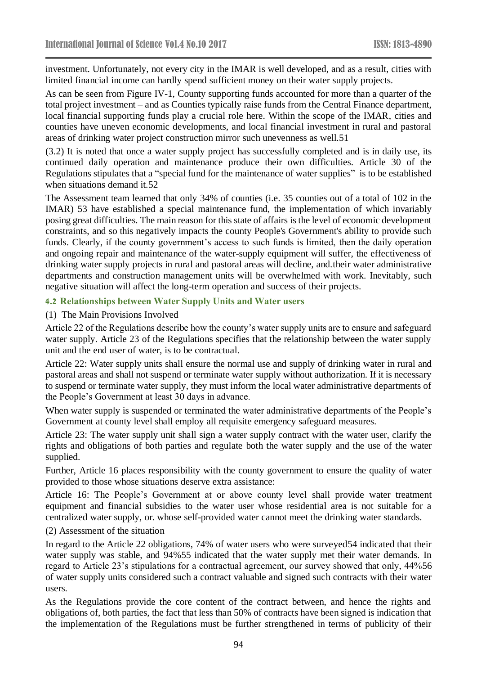investment. Unfortunately, not every city in the IMAR is well developed, and as a result, cities with limited financial income can hardly spend sufficient money on their water supply projects.

As can be seen from Figure IV-1, County supporting funds accounted for more than a quarter of the total project investment – and as Counties typically raise funds from the Central Finance department, local financial supporting funds play a crucial role here. Within the scope of the IMAR, cities and counties have uneven economic developments, and local financial investment in rural and pastoral areas of drinking water project construction mirror such unevenness as well.51

(3.2) It is noted that once a water supply project has successfully completed and is in daily use, its continued daily operation and maintenance produce their own difficulties. Article 30 of the Regulations stipulates that a "special fund for the maintenance of water supplies" is to be established when situations demand it.52

The Assessment team learned that only 34% of counties (i.e. 35 counties out of a total of 102 in the IMAR) 53 have established a special maintenance fund, the implementation of which invariably posing great difficulties. The main reason for this state of affairs is the level of economic development constraints, and so this negatively impacts the county People's Government's ability to provide such funds. Clearly, if the county government's access to such funds is limited, then the daily operation and ongoing repair and maintenance of the water-supply equipment will suffer, the effectiveness of drinking water supply projects in rural and pastoral areas will decline, and.their water administrative departments and construction management units will be overwhelmed with work. Inevitably, such negative situation will affect the long-term operation and success of their projects.

#### **4.2 Relationships between Water Supply Units and Water users**

#### (1) The Main Provisions Involved

Article 22 of the Regulations describe how the county's water supply units are to ensure and safeguard water supply. Article 23 of the Regulations specifies that the relationship between the water supply unit and the end user of water, is to be contractual.

Article 22: Water supply units shall ensure the normal use and supply of drinking water in rural and pastoral areas and shall not suspend or terminate water supply without authorization. If it is necessary to suspend or terminate water supply, they must inform the local water administrative departments of the People's Government at least 30 days in advance.

When water supply is suspended or terminated the water administrative departments of the People's Government at county level shall employ all requisite emergency safeguard measures.

Article 23: The water supply unit shall sign a water supply contract with the water user, clarify the rights and obligations of both parties and regulate both the water supply and the use of the water supplied.

Further, Article 16 places responsibility with the county government to ensure the quality of water provided to those whose situations deserve extra assistance:

Article 16: The People's Government at or above county level shall provide water treatment equipment and financial subsidies to the water user whose residential area is not suitable for a centralized water supply, or. whose self-provided water cannot meet the drinking water standards.

#### (2) Assessment of the situation

In regard to the Article 22 obligations, 74% of water users who were surveyed54 indicated that their water supply was stable, and 94%55 indicated that the water supply met their water demands. In regard to Article 23's stipulations for a contractual agreement, our survey showed that only, 44%56 of water supply units considered such a contract valuable and signed such contracts with their water users.

As the Regulations provide the core content of the contract between, and hence the rights and obligations of, both parties, the fact that less than 50% of contracts have been signed is indication that the implementation of the Regulations must be further strengthened in terms of publicity of their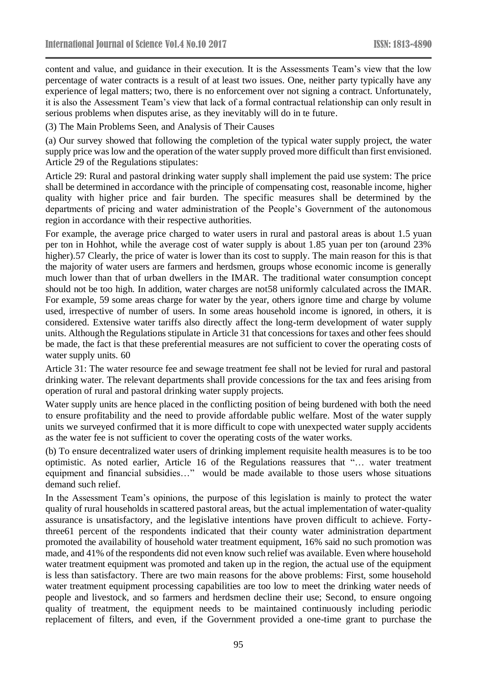content and value, and guidance in their execution. It is the Assessments Team's view that the low percentage of water contracts is a result of at least two issues. One, neither party typically have any experience of legal matters; two, there is no enforcement over not signing a contract. Unfortunately, it is also the Assessment Team's view that lack of a formal contractual relationship can only result in serious problems when disputes arise, as they inevitably will do in te future.

(3) The Main Problems Seen, and Analysis of Their Causes

(a) Our survey showed that following the completion of the typical water supply project, the water supply price was low and the operation of the water supply proved more difficult than first envisioned. Article 29 of the Regulations stipulates:

Article 29: Rural and pastoral drinking water supply shall implement the paid use system: The price shall be determined in accordance with the principle of compensating cost, reasonable income, higher quality with higher price and fair burden. The specific measures shall be determined by the departments of pricing and water administration of the People's Government of the autonomous region in accordance with their respective authorities.

For example, the average price charged to water users in rural and pastoral areas is about 1.5 yuan per ton in Hohhot, while the average cost of water supply is about 1.85 yuan per ton (around 23% higher).57 Clearly, the price of water is lower than its cost to supply. The main reason for this is that the majority of water users are farmers and herdsmen, groups whose economic income is generally much lower than that of urban dwellers in the IMAR. The traditional water consumption concept should not be too high. In addition, water charges are not58 uniformly calculated across the IMAR. For example, 59 some areas charge for water by the year, others ignore time and charge by volume used, irrespective of number of users. In some areas household income is ignored, in others, it is considered. Extensive water tariffs also directly affect the long-term development of water supply units. Although the Regulations stipulate in Article 31 that concessions for taxes and other fees should be made, the fact is that these preferential measures are not sufficient to cover the operating costs of water supply units. 60

Article 31: The water resource fee and sewage treatment fee shall not be levied for rural and pastoral drinking water. The relevant departments shall provide concessions for the tax and fees arising from operation of rural and pastoral drinking water supply projects.

Water supply units are hence placed in the conflicting position of being burdened with both the need to ensure profitability and the need to provide affordable public welfare. Most of the water supply units we surveyed confirmed that it is more difficult to cope with unexpected water supply accidents as the water fee is not sufficient to cover the operating costs of the water works.

(b) To ensure decentralized water users of drinking implement requisite health measures is to be too optimistic. As noted earlier, Article 16 of the Regulations reassures that "… water treatment equipment and financial subsidies…" would be made available to those users whose situations demand such relief.

In the Assessment Team's opinions, the purpose of this legislation is mainly to protect the water quality of rural households in scattered pastoral areas, but the actual implementation of water-quality assurance is unsatisfactory, and the legislative intentions have proven difficult to achieve. Fortythree61 percent of the respondents indicated that their county water administration department promoted the availability of household water treatment equipment, 16% said no such promotion was made, and 41% of the respondents did not even know such relief was available. Even where household water treatment equipment was promoted and taken up in the region, the actual use of the equipment is less than satisfactory. There are two main reasons for the above problems: First, some household water treatment equipment processing capabilities are too low to meet the drinking water needs of people and livestock, and so farmers and herdsmen decline their use; Second, to ensure ongoing quality of treatment, the equipment needs to be maintained continuously including periodic replacement of filters, and even, if the Government provided a one-time grant to purchase the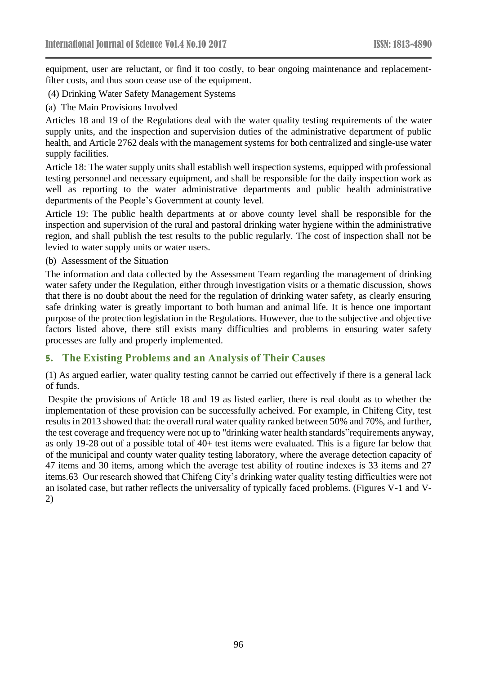equipment, user are reluctant, or find it too costly, to bear ongoing maintenance and replacementfilter costs, and thus soon cease use of the equipment.

- (4) Drinking Water Safety Management Systems
- (a) The Main Provisions Involved

Articles 18 and 19 of the Regulations deal with the water quality testing requirements of the water supply units, and the inspection and supervision duties of the administrative department of public health, and Article 2762 deals with the management systems for both centralized and single-use water supply facilities.

Article 18: The water supply units shall establish well inspection systems, equipped with professional testing personnel and necessary equipment, and shall be responsible for the daily inspection work as well as reporting to the water administrative departments and public health administrative departments of the People's Government at county level.

Article 19: The public health departments at or above county level shall be responsible for the inspection and supervision of the rural and pastoral drinking water hygiene within the administrative region, and shall publish the test results to the public regularly. The cost of inspection shall not be levied to water supply units or water users.

(b) Assessment of the Situation

The information and data collected by the Assessment Team regarding the management of drinking water safety under the Regulation, either through investigation visits or a thematic discussion, shows that there is no doubt about the need for the regulation of drinking water safety, as clearly ensuring safe drinking water is greatly important to both human and animal life. It is hence one important purpose of the protection legislation in the Regulations. However, due to the subjective and objective factors listed above, there still exists many difficulties and problems in ensuring water safety processes are fully and properly implemented.

#### **5. The Existing Problems and an Analysis of Their Causes**

(1) As argued earlier, water quality testing cannot be carried out effectively if there is a general lack of funds.

Despite the provisions of Article 18 and 19 as listed earlier, there is real doubt as to whether the implementation of these provision can be successfully acheived. For example, in Chifeng City, test results in 2013 showed that: the overall rural water quality ranked between 50% and 70%, and further, the test coverage and frequency were not up to "drinking water health standards"requirements anyway, as only 19-28 out of a possible total of 40+ test items were evaluated. This is a figure far below that of the municipal and county water quality testing laboratory, where the average detection capacity of 47 items and 30 items, among which the average test ability of routine indexes is 33 items and 27 items.63 Our research showed that Chifeng City's drinking water quality testing difficulties were not an isolated case, but rather reflects the universality of typically faced problems. (Figures V-1 and V-2)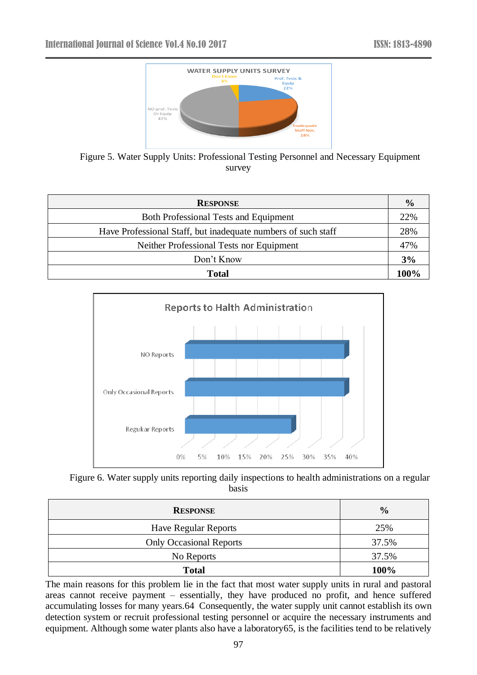

Figure 5. Water Supply Units: Professional Testing Personnel and Necessary Equipment survey

| <b>RESPONSE</b>                                               | $\frac{0}{0}$ |
|---------------------------------------------------------------|---------------|
| <b>Both Professional Tests and Equipment</b>                  | 22%           |
| Have Professional Staff, but inadequate numbers of such staff | 28%           |
| Neither Professional Tests nor Equipment                      | 47%           |
| Don't Know                                                    | 3%            |
| <b>Total</b>                                                  | 100%          |





| <b>RESPONSE</b>                | $\frac{0}{0}$ |
|--------------------------------|---------------|
| <b>Have Regular Reports</b>    | 25%           |
| <b>Only Occasional Reports</b> | 37.5%         |
| No Reports                     | 37.5%         |
| <b>Total</b>                   | 100%          |

The main reasons for this problem lie in the fact that most water supply units in rural and pastoral areas cannot receive payment – essentially, they have produced no profit, and hence suffered accumulating losses for many years.64 Consequently, the water supply unit cannot establish its own detection system or recruit professional testing personnel or acquire the necessary instruments and equipment. Although some water plants also have a laboratory65, is the facilities tend to be relatively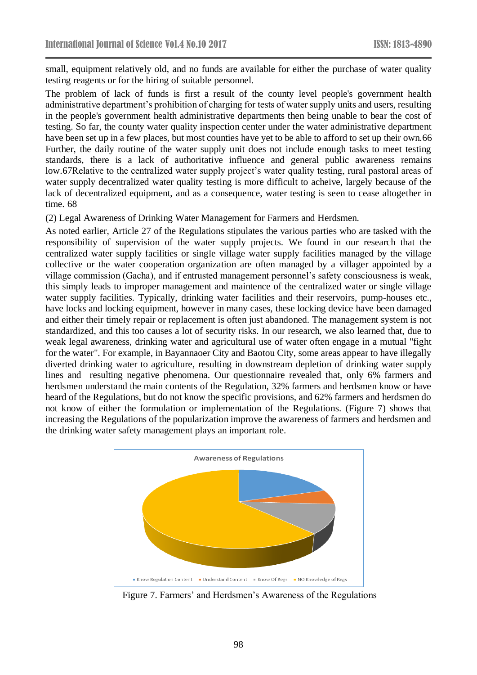small, equipment relatively old, and no funds are available for either the purchase of water quality testing reagents or for the hiring of suitable personnel.

The problem of lack of funds is first a result of the county level people's government health administrative department's prohibition of charging for tests of water supply units and users, resulting in the people's government health administrative departments then being unable to bear the cost of testing. So far, the county water quality inspection center under the water administrative department have been set up in a few places, but most counties have yet to be able to afford to set up their own.66 Further, the daily routine of the water supply unit does not include enough tasks to meet testing standards, there is a lack of authoritative influence and general public awareness remains low.67Relative to the centralized water supply project's water quality testing, rural pastoral areas of water supply decentralized water quality testing is more difficult to acheive, largely because of the lack of decentralized equipment, and as a consequence, water testing is seen to cease altogether in time. 68

(2) Legal Awareness of Drinking Water Management for Farmers and Herdsmen.

As noted earlier, Article 27 of the Regulations stipulates the various parties who are tasked with the responsibility of supervision of the water supply projects. We found in our research that the centralized water supply facilities or single village water supply facilities managed by the village collective or the water cooperation organization are often managed by a villager appointed by a village commission (Gacha), and if entrusted management personnel's safety consciousness is weak, this simply leads to improper management and maintence of the centralized water or single village water supply facilities. Typically, drinking water facilities and their reservoirs, pump-houses etc., have locks and locking equipment, however in many cases, these locking device have been damaged and either their timely repair or replacement is often just abandoned. The management system is not standardized, and this too causes a lot of security risks. In our research, we also learned that, due to weak legal awareness, drinking water and agricultural use of water often engage in a mutual "fight for the water". For example, in Bayannaoer City and Baotou City, some areas appear to have illegally diverted drinking water to agriculture, resulting in downstream depletion of drinking water supply lines and resulting negative phenomena. Our questionnaire revealed that, only 6% farmers and herdsmen understand the main contents of the Regulation, 32% farmers and herdsmen know or have heard of the Regulations, but do not know the specific provisions, and 62% farmers and herdsmen do not know of either the formulation or implementation of the Regulations. (Figure 7) shows that increasing the Regulations of the popularization improve the awareness of farmers and herdsmen and the drinking water safety management plays an important role.



Figure 7. Farmers' and Herdsmen's Awareness of the Regulations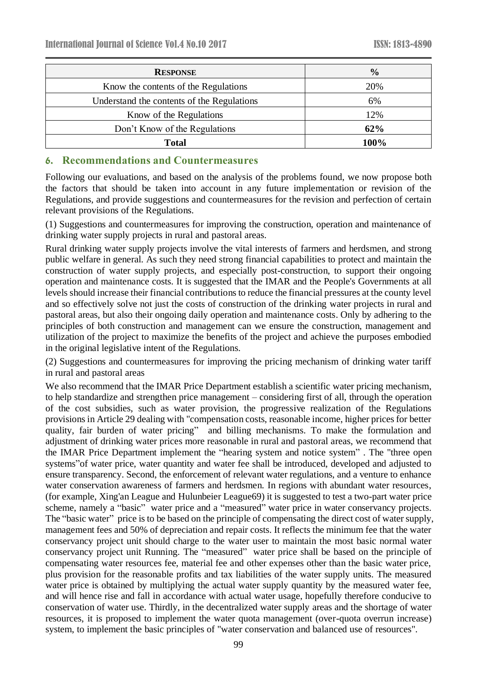| <b>RESPONSE</b>                            | $\frac{6}{9}$ |
|--------------------------------------------|---------------|
| Know the contents of the Regulations       | 20%           |
| Understand the contents of the Regulations | 6%            |
| Know of the Regulations                    | 12%           |
| Don't Know of the Regulations              | 62%           |
| <b>Total</b>                               | 100%          |

# **6. Recommendations and Countermeasures**

Following our evaluations, and based on the analysis of the problems found, we now propose both the factors that should be taken into account in any future implementation or revision of the Regulations, and provide suggestions and countermeasures for the revision and perfection of certain relevant provisions of the Regulations.

(1) Suggestions and countermeasures for improving the construction, operation and maintenance of drinking water supply projects in rural and pastoral areas.

Rural drinking water supply projects involve the vital interests of farmers and herdsmen, and strong public welfare in general. As such they need strong financial capabilities to protect and maintain the construction of water supply projects, and especially post-construction, to support their ongoing operation and maintenance costs. It is suggested that the IMAR and the People's Governments at all levels should increase their financial contributions to reduce the financial pressures at the county level and so effectively solve not just the costs of construction of the drinking water projects in rural and pastoral areas, but also their ongoing daily operation and maintenance costs. Only by adhering to the principles of both construction and management can we ensure the construction, management and utilization of the project to maximize the benefits of the project and achieve the purposes embodied in the original legislative intent of the Regulations.

(2) Suggestions and countermeasures for improving the pricing mechanism of drinking water tariff in rural and pastoral areas

We also recommend that the IMAR Price Department establish a scientific water pricing mechanism, to help standardize and strengthen price management – considering first of all, through the operation of the cost subsidies, such as water provision, the progressive realization of the Regulations provisions in Article 29 dealing with "compensation costs, reasonable income, higher prices for better quality, fair burden of water pricing" and billing mechanisms. To make the formulation and adjustment of drinking water prices more reasonable in rural and pastoral areas, we recommend that the IMAR Price Department implement the "hearing system and notice system" . The "three open systems"of water price, water quantity and water fee shall be introduced, developed and adjusted to ensure transparency. Second, the enforcement of relevant water regulations, and a venture to enhance water conservation awareness of farmers and herdsmen. In regions with abundant water resources, (for example, Xing'an League and Hulunbeier League69) it is suggested to test a two-part water price scheme, namely a "basic" water price and a "measured" water price in water conservancy projects. The "basic water" price is to be based on the principle of compensating the direct cost of water supply, management fees and 50% of depreciation and repair costs. It reflects the minimum fee that the water conservancy project unit should charge to the water user to maintain the most basic normal water conservancy project unit Running. The "measured" water price shall be based on the principle of compensating water resources fee, material fee and other expenses other than the basic water price, plus provision for the reasonable profits and tax liabilities of the water supply units. The measured water price is obtained by multiplying the actual water supply quantity by the measured water fee, and will hence rise and fall in accordance with actual water usage, hopefully therefore conducive to conservation of water use. Thirdly, in the decentralized water supply areas and the shortage of water resources, it is proposed to implement the water quota management (over-quota overrun increase) system, to implement the basic principles of "water conservation and balanced use of resources".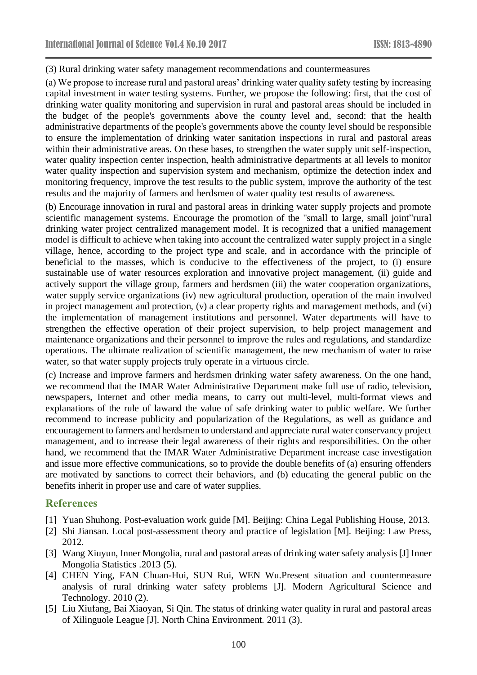(3) Rural drinking water safety management recommendations and countermeasures

(a) We propose to increase rural and pastoral areas' drinking water quality safety testing by increasing capital investment in water testing systems. Further, we propose the following: first, that the cost of drinking water quality monitoring and supervision in rural and pastoral areas should be included in the budget of the people's governments above the county level and, second: that the health administrative departments of the people's governments above the county level should be responsible to ensure the implementation of drinking water sanitation inspections in rural and pastoral areas within their administrative areas. On these bases, to strengthen the water supply unit self-inspection, water quality inspection center inspection, health administrative departments at all levels to monitor water quality inspection and supervision system and mechanism, optimize the detection index and monitoring frequency, improve the test results to the public system, improve the authority of the test results and the majority of farmers and herdsmen of water quality test results of awareness.

(b) Encourage innovation in rural and pastoral areas in drinking water supply projects and promote scientific management systems. Encourage the promotion of the "small to large, small joint"rural drinking water project centralized management model. It is recognized that a unified management model is difficult to achieve when taking into account the centralized water supply project in a single village, hence, according to the project type and scale, and in accordance with the principle of beneficial to the masses, which is conducive to the effectiveness of the project, to (i) ensure sustainable use of water resources exploration and innovative project management, (ii) guide and actively support the village group, farmers and herdsmen (iii) the water cooperation organizations, water supply service organizations (iv) new agricultural production, operation of the main involved in project management and protection, (v) a clear property rights and management methods, and (vi) the implementation of management institutions and personnel. Water departments will have to strengthen the effective operation of their project supervision, to help project management and maintenance organizations and their personnel to improve the rules and regulations, and standardize operations. The ultimate realization of scientific management, the new mechanism of water to raise water, so that water supply projects truly operate in a virtuous circle.

(c) Increase and improve farmers and herdsmen drinking water safety awareness. On the one hand, we recommend that the IMAR Water Administrative Department make full use of radio, television, newspapers, Internet and other media means, to carry out multi-level, multi-format views and explanations of the rule of lawand the value of safe drinking water to public welfare. We further recommend to increase publicity and popularization of the Regulations, as well as guidance and encouragement to farmers and herdsmen to understand and appreciate rural water conservancy project management, and to increase their legal awareness of their rights and responsibilities. On the other hand, we recommend that the IMAR Water Administrative Department increase case investigation and issue more effective communications, so to provide the double benefits of (a) ensuring offenders are motivated by sanctions to correct their behaviors, and (b) educating the general public on the benefits inherit in proper use and care of water supplies.

#### **References**

- [1] Yuan Shuhong. Post-evaluation work guide [M]. Beijing: China Legal Publishing House, 2013.
- [2] Shi Jiansan. Local post-assessment theory and practice of legislation [M]. Beijing: Law Press, 2012.
- [3] Wang Xiuyun, Inner Mongolia, rural and pastoral areas of drinking water safety analysis [J] Inner Mongolia Statistics .2013 (5).
- [4] CHEN Ying, FAN Chuan-Hui, SUN Rui, WEN Wu.Present situation and countermeasure analysis of rural drinking water safety problems [J]. Modern Agricultural Science and Technology. 2010 (2).
- [5] Liu Xiufang, Bai Xiaoyan, Si Qin. The status of drinking water quality in rural and pastoral areas of Xilinguole League [J]. North China Environment. 2011 (3).